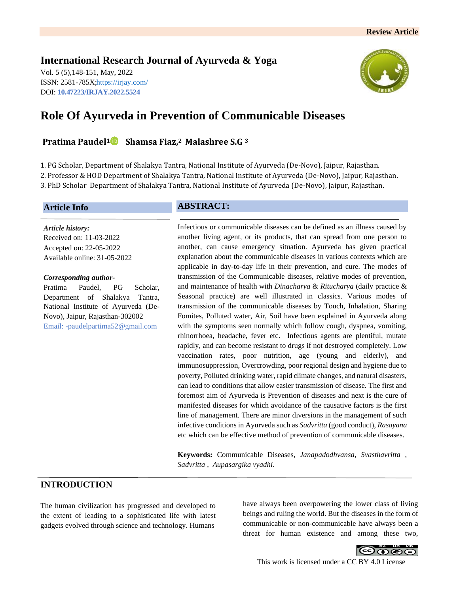# **International Research Journal of Ayurveda & Yoga**

Vol. 5 (5),148-151, May, 2022 ISSN: 2581-785X[; https://irjay.com/](https://irjay.com/) DOI: **10.47223/IRJAY.2022.5524**



# **Role Of Ayurveda in Prevention of Communicable Diseases**

**Pratima Paudel1 Shamsa Fiaz, <sup>2</sup> Malashree S.G <sup>3</sup>**

1. PG Scholar, Department of Shalakya Tantra, National Institute of Ayurveda (De-Novo), Jaipur, Rajasthan. 2. Professor & HOD Department of Shalakya Tantra, National Institute of Ayurveda (De-Novo), Jaipur, Rajasthan. 3. PhD Scholar Department of Shalakya Tantra, National Institute of Ayurveda (De-Novo), Jaipur, Rajasthan.

### **Article Info**

*Article history:* Received on: 11-03-2022 Accepted on: 22-05-2022 Available online: 31-05-2022

#### *Corresponding author-*

Pratima Paudel, PG Scholar, Department of Shalakya Tantra, National Institute of Ayurveda (De-Novo), Jaipur, Rajasthan-302002 Email: -paudelpartima52@gmail.com

# **ABSTRACT:**

Infectious or communicable diseases can be defined as an illness caused by another living agent, or its products, that can spread from one person to another, can cause emergency situation. Ayurveda has given practical explanation about the communicable diseases in various contexts which are applicable in day-to-day life in their prevention, and cure. The modes of transmission of the Communicable diseases, relative modes of prevention, and maintenance of health with *Dinacharya* & *Ritucharya* (daily practice & Seasonal practice) are well illustrated in classics. Various modes of transmission of the communicable diseases by Touch, Inhalation, Sharing Fomites, Polluted water, Air, Soil have been explained in Ayurveda along with the symptoms seen normally which follow cough, dyspnea, vomiting, rhinorrhoea, headache, fever etc. Infectious agents are plentiful, mutate rapidly, and can become resistant to drugs if not destroyed completely. Low vaccination rates, poor nutrition, age (young and elderly), and immunosuppression, Overcrowding, poor regional design and hygiene due to poverty, Polluted drinking water, rapid climate changes, and natural disasters, can lead to conditions that allow easier transmission of disease. The first and foremost aim of Ayurveda is Prevention of diseases and next is the cure of manifested diseases for which avoidance of the causative factors is the first line of management. There are minor diversions in the management of such infective conditions in Ayurveda such as *Sadvritta* (good conduct), *Rasayana* etc which can be effective method of prevention of communicable diseases.

**Keywords:** Communicable Diseases, *Janapadodhvansa*, *Svasthavritta* , *Sadvritta* , *Aupasargika vyadhi*.

# **INTRODUCTION**

The human civilization has progressed and developed to the extent of leading to a sophisticated life with latest gadgets evolved through science and technology. Humans

have always been overpowering the lower class of living beings and ruling the world. But the diseases in the form of communicable or non-communicable have always been a threat for human existence and among these two,

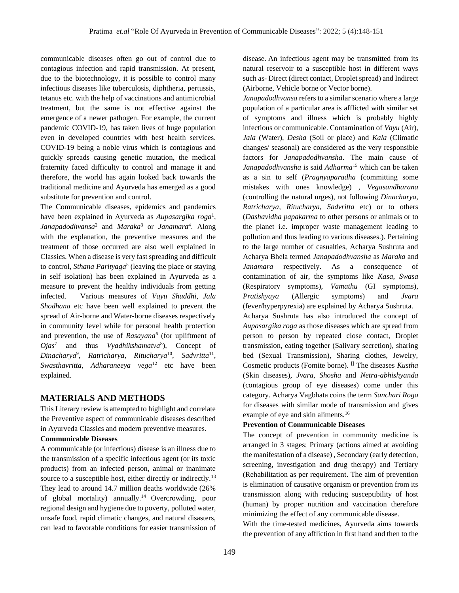communicable diseases often go out of control due to contagious infection and rapid transmission. At present, due to the biotechnology, it is possible to control many infectious diseases like tuberculosis, diphtheria, pertussis, tetanus etc. with the help of vaccinations and antimicrobial treatment, but the same is not effective against the emergence of a newer pathogen. For example, the current pandemic COVID-19, has taken lives of huge population even in developed countries with best health services. COVID-19 being a noble virus which is contagious and quickly spreads causing genetic mutation, the medical fraternity faced difficulty to control and manage it and therefore, the world has again looked back towards the traditional medicine and Ayurveda has emerged as a good substitute for prevention and control.

The Communicable diseases, epidemics and pandemics have been explained in Ayurveda as *Aupasargika roga*<sup>1</sup> , *Janapadodhvansa*<sup>2</sup> and *Maraka*<sup>3</sup> or *Janamara*<sup>4</sup> . Along with the explanation, the preventive measures and the treatment of those occurred are also well explained in Classics. When a disease is very fast spreading and difficult to control, *Sthana Parityaga*<sup>5</sup> (leaving the place or staying in self isolation) has been explained in Ayurveda as a measure to prevent the healthy individuals from getting infected. Various measures of *Vayu Shuddhi*, *Jala Shodhana* etc have been well explained to prevent the spread of Air-borne and Water-borne diseases respectively in community level while for personal health protection and prevention, the use of *Rasayana*<sup>6</sup> (for upliftment of *Ojas*<sup>7</sup> and thus *Vyadhikshamatva*<sup>8</sup>), Concept of *Dinacharya*<sup>9</sup> , *Ratricharya*, *Ritucharya*<sup>10</sup> , *Sadvritta*<sup>11</sup> , *Swasthavritta, Adharaneeya vega*<sup>12</sup> etc have been explained.

# **MATERIALS AND METHODS**

This Literary review is attempted to highlight and correlate the Preventive aspect of communicable diseases described in Ayurveda Classics and modern preventive measures.

#### **Communicable Diseases**

A communicable (or infectious) disease is an illness due to the transmission of a specific infectious agent (or its toxic products) from an infected person, animal or inanimate source to a susceptible host, either directly or indirectly.<sup>13</sup> They lead to around 14.7 million deaths worldwide (26% of global mortality) annually.<sup>14</sup> Overcrowding, poor regional design and hygiene due to poverty, polluted water, unsafe food, rapid climatic changes, and natural disasters, can lead to favorable conditions for easier transmission of disease. An infectious agent may be transmitted from its natural reservoir to a susceptible host in different ways such as- Direct (direct contact, Droplet spread) and Indirect (Airborne, Vehicle borne or Vector borne).

*Janapadodhvansa* refers to a similar scenario where a large population of a particular area is afflicted with similar set of symptoms and illness which is probably highly infectious or communicable. Contamination of *Vayu* (Air), *Jala* (Water), *Desha* (Soil or place) and *Kala* (Climatic changes/ seasonal) are considered as the very responsible factors for *Janapadodhvansha*. The main cause of *Janapadodhvansha* is said *Adharma*<sup>15</sup> which can be taken as a sin to self (*Pragnyaparadha* (committing some mistakes with ones knowledge) *, Vegasandharana*  (controlling the natural urges), not following *Dinacharya, Ratricharya, Ritucharya, Sadvritta* etc) or to others (*Dashavidha papakarma* to other persons or animals or to the planet i.e. improper waste management leading to pollution and thus leading to various diseases.). Pertaining to the large number of casualties, Acharya Sushruta and Acharya Bhela termed *Janapadodhvansha* as *Maraka* and *Janamara* respectively. As a consequence of contamination of air, the symptoms like *Kasa*, *Swasa* (Respiratory symptoms), *Vamathu* (GI symptoms), *Pratishyaya* (Allergic symptoms) and *Jvara* (fever/hyperpyrexia) are explained by Acharya Sushruta. Acharya Sushruta has also introduced the concept of *Aupasargika roga* as those diseases which are spread from person to person by repeated close contact, Droplet transmission, eating together (Salivary secretion), sharing bed (Sexual Transmission), Sharing clothes, Jewelry, Cosmetic products (Fomite borne). [] The diseases *Kustha*  (Skin diseases), *Jvara, Shosha* and *Netra-abhishyanda*  (contagious group of eye diseases) come under this category. Acharya Vagbhata coins the term *Sanchari Roga* for diseases with similar mode of transmission and gives example of eye and skin aliments.<sup>16</sup>

#### **Prevention of Communicable Diseases**

The concept of prevention in community medicine is arranged in 3 stages; Primary (actions aimed at avoiding the manifestation of a disease) , Secondary (early detection, screening, investigation and drug therapy) and Tertiary (Rehabilitation as per requirement. The aim of prevention is elimination of causative organism or prevention from its transmission along with reducing susceptibility of host (human) by proper nutrition and vaccination therefore minimizing the effect of any communicable disease.

With the time-tested medicines, Ayurveda aims towards the prevention of any affliction in first hand and then to the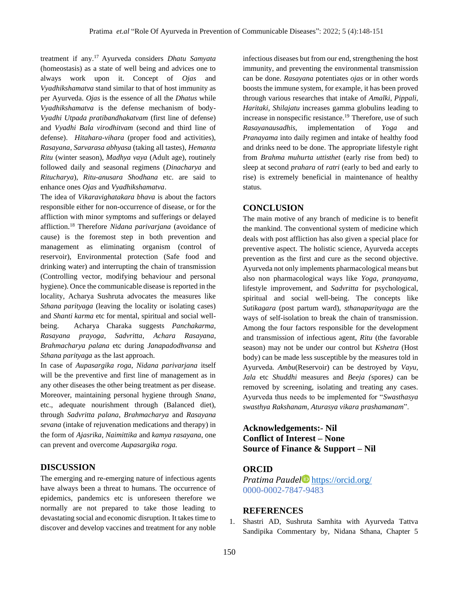treatment if any.<sup>17</sup> Ayurveda considers *Dhatu Samyata* (homeostasis) as a state of well being and advices one to always work upon it. Concept of *Ojas* and *Vyadhikshamatva* stand similar to that of host immunity as per Ayurveda. *Ojas* is the essence of all the *Dhatus* while *Vyadhikshamatva* is the defense mechanism of body-*Vyadhi Utpada pratibandhakatvam* (first line of defense) and *Vyadhi Bala virodhitvam* (second and third line of defense). *Hitahara-vihara* (proper food and activities), *Rasayana*, *Sarvarasa abhyasa* (taking all tastes), *Hemanta Ritu* (winter season), *Madhya vaya* (Adult age), routinely followed daily and seasonal regimens (*Dinacharya* and *Ritucharya*), *Ritu-anusara Shodhana* etc. are said to enhance ones *Ojas* and *Vyadhikshamatva*.

The idea of *Vikaravighatakara bhava* is about the factors responsible either for non-occurrence of disease, or for the affliction with minor symptoms and sufferings or delayed affliction.<sup>18</sup> Therefore *Nidana parivarjana* (avoidance of cause) is the foremost step in both prevention and management as eliminating organism (control of reservoir), Environmental protection (Safe food and drinking water) and interrupting the chain of transmission (Controlling vector, modifying behaviour and personal hygiene). Once the communicable disease is reported in the locality, Acharya Sushruta advocates the measures like *Sthana parityaga* (leaving the locality or isolating cases) and *Shanti karma* etc for mental, spiritual and social wellbeing. Acharya Charaka suggests *Panchakarma, Rasayana prayoga*, *Sadvritta*, *Achara Rasayana*, *Brahmacharya palana* etc during *Janapadodhvansa* and *Sthana parityaga* as the last approach.

In case of *Aupasargika roga*, *Nidana parivarjana* itself will be the preventive and first line of management as in any other diseases the other being treatment as per disease. Moreover, maintaining personal hygiene through *Snana*, etc., adequate nourishment through (Balanced diet), through *Sadvritta palana*, *Brahmacharya* and *Rasayana sevana* (intake of rejuvenation medications and therapy) in the form of *Ajasrika, Naimittika* and *kamya rasayana*, one can prevent and overcome *Aupasargika roga.* 

# **DISCUSSION**

The emerging and re-emerging nature of infectious agents have always been a threat to humans. The occurrence of epidemics, pandemics etc is unforeseen therefore we normally are not prepared to take those leading to devastating social and economic disruption. It takes time to discover and develop vaccines and treatment for any noble

infectious diseases but from our end, strengthening the host immunity, and preventing the environmental transmission can be done. *Rasayana* potentiates *ojas* or in other words boosts the immune system, for example, it has been proved through various researches that intake of *Amalki, Pippali, Haritaki, Shilajatu* increases gamma globulins leading to increase in nonspecific resistance.<sup>19</sup> Therefore, use of such *Rasayanausadhis*, implementation of *Yoga* and *Pranayama* into daily regimen and intake of healthy food and drinks need to be done. The appropriate lifestyle right from *Brahma muhurta uttisthet* (early rise from bed) to sleep at second *prahara* of *ratri* (early to bed and early to rise) is extremely beneficial in maintenance of healthy status.

### **CONCLUSION**

The main motive of any branch of medicine is to benefit the mankind. The conventional system of medicine which deals with post affliction has also given a special place for preventive aspect. The holistic science, Ayurveda accepts prevention as the first and cure as the second objective. Ayurveda not only implements pharmacological means but also non pharmacological ways like *Yoga, pranayama*, lifestyle improvement, and *Sadvritta* for psychological, spiritual and social well-being. The concepts like *Sutikagara* (post partum ward), *sthanaparityaga* are the ways of self-isolation to break the chain of transmission. Among the four factors responsible for the development and transmission of infectious agent, *Ritu* (the favorable season) may not be under our control but *Kshetra* (Host body) can be made less susceptible by the measures told in Ayurveda. *Ambu*(Reservoir) can be destroyed by *Vayu, Jala* etc *Shuddhi* measures and *Beeja (*spores*)* can be removed by screening, isolating and treating any cases. Ayurveda thus needs to be implemented for "*Swasthasya swasthya Rakshanam, Aturasya vikara prashamanam*".

# **Acknowledgements:- Nil Conflict of Interest – None Source of Finance & Support – Nil**

### **ORCID**

*Pratima Paudel* <https://orcid.org/> 0000-0002-7847-9483

# **REFERENCES**

1. Shastri AD, Sushruta Samhita with Ayurveda Tattva Sandipika Commentary by, Nidana Sthana, Chapter 5